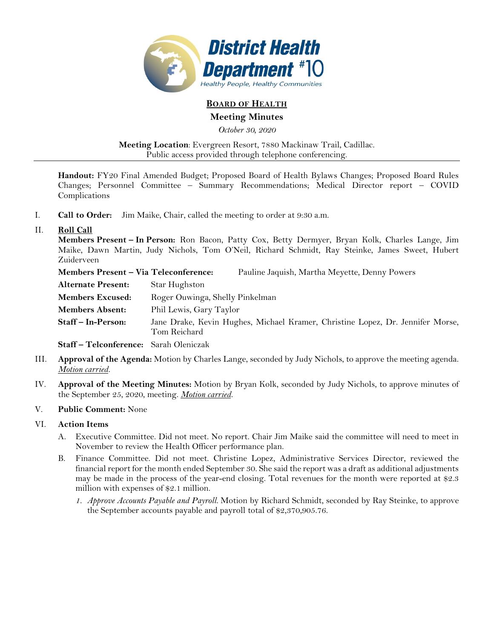

# **BOARD OF HEALTH**

**Meeting Minutes** 

*October 30, 2020* 

**Meeting Location**: Evergreen Resort, 7880 Mackinaw Trail, Cadillac. Public access provided through telephone conferencing.

**Handout:** FY20 Final Amended Budget; Proposed Board of Health Bylaws Changes; Proposed Board Rules Changes; Personnel Committee – Summary Recommendations; Medical Director report – COVID Complications

I. **Call to Order:** Jim Maike, Chair, called the meeting to order at 9:30 a.m.

# II. **Roll Call**

**Members Present – In Person:** Ron Bacon, Patty Cox, Betty Dermyer, Bryan Kolk, Charles Lange, Jim Maike, Dawn Martin, Judy Nichols, Tom O'Neil, Richard Schmidt, Ray Steinke, James Sweet, Hubert Zuiderveen

| Members Present – Via Teleconference: |                                 | Pauline Jaquish, Martha Meyette, Denny Powers                                  |
|---------------------------------------|---------------------------------|--------------------------------------------------------------------------------|
| Alternate Present:                    | Star Hughston                   |                                                                                |
| <b>Members Excused:</b>               | Roger Ouwinga, Shelly Pinkelman |                                                                                |
| <b>Members Absent:</b>                | Phil Lewis, Gary Taylor         |                                                                                |
| Staff – In-Person:                    | Tom Reichard                    | Jane Drake, Kevin Hughes, Michael Kramer, Christine Lopez, Dr. Jennifer Morse, |
|                                       |                                 |                                                                                |

**Staff – Telconference:** Sarah Oleniczak

- III. **Approval of the Agenda:** Motion by Charles Lange, seconded by Judy Nichols, to approve the meeting agenda. *Motion carried.*
- IV. **Approval of the Meeting Minutes:** Motion by Bryan Kolk, seconded by Judy Nichols, to approve minutes of the September 25, 2020, meeting. *Motion carried.*

## V. **Public Comment:** None

# VI. **Action Items**

- A. Executive Committee. Did not meet. No report. Chair Jim Maike said the committee will need to meet in November to review the Health Officer performance plan.
- B. Finance Committee. Did not meet. Christine Lopez, Administrative Services Director, reviewed the financial report for the month ended September 30. She said the report was a draft as additional adjustments may be made in the process of the year-end closing. Total revenues for the month were reported at \$2.3 million with expenses of \$2.1 million.
	- *1. Approve Accounts Payable and Payroll.* Motion by Richard Schmidt, seconded by Ray Steinke, to approve the September accounts payable and payroll total of \$2,370,905.76.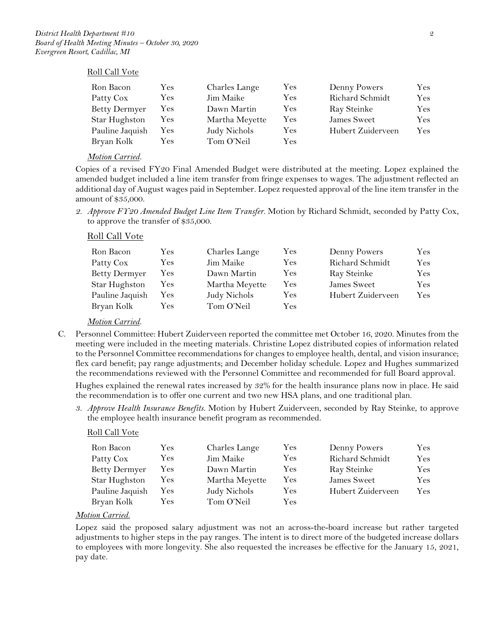### Roll Call Vote

| Ron Bacon            | Yes | Charles Lange  | Yes  | Denny Powers      | Yes.       |
|----------------------|-----|----------------|------|-------------------|------------|
| Patty Cox            | Yes | Jim Maike      | Yes. | Richard Schmidt   | Yes.       |
| <b>Betty Dermyer</b> | Yes | Dawn Martin    | Yes  | Ray Steinke       | Yes        |
| Star Hughston        | Yes | Martha Meyette | Yes  | James Sweet       | Yes.       |
| Pauline Jaquish      | Yes | Judy Nichols   | Yes. | Hubert Zuiderveen | <b>Yes</b> |
| Bryan Kolk           | Yes | Tom O'Neil     | Yes  |                   |            |

### *Motion Carried.*

Copies of a revised FY20 Final Amended Budget were distributed at the meeting. Lopez explained the amended budget included a line item transfer from fringe expenses to wages. The adjustment reflected an additional day of August wages paid in September. Lopez requested approval of the line item transfer in the amount of \$35,000.

*2. Approve FY20 Amended Budget Line Item Transfer.* Motion by Richard Schmidt, seconded by Patty Cox, to approve the transfer of \$35,000.

## Roll Call Vote

| Ron Bacon            | Yes.       | Charles Lange  | Yes | Denny Powers      | Yes  |
|----------------------|------------|----------------|-----|-------------------|------|
| Patty Cox            | Yes        | Jim Maike      | Yes | Richard Schmidt   | Yes  |
| <b>Betty Dermyer</b> | Yes        | Dawn Martin    | Yes | Ray Steinke       | Yes  |
| Star Hughston        | <b>Yes</b> | Martha Meyette | Yes | James Sweet       | Yes  |
| Pauline Jaquish      | <b>Yes</b> | Judy Nichols   | Yes | Hubert Zuiderveen | Yes. |
| Bryan Kolk           | Yes        | Tom O'Neil     | Yes |                   |      |

## *Motion Carried.*

- C. Personnel Committee: Hubert Zuiderveen reported the committee met October 16, 2020. Minutes from the meeting were included in the meeting materials. Christine Lopez distributed copies of information related to the Personnel Committee recommendations for changes to employee health, dental, and vision insurance; flex card benefit; pay range adjustments; and December holiday schedule. Lopez and Hughes summarized the recommendations reviewed with the Personnel Committee and recommended for full Board approval. Hughes explained the renewal rates increased by 32% for the health insurance plans now in place. He said the recommendation is to offer one current and two new HSA plans, and one traditional plan.
	- *3. Approve Health Insurance Benefits.* Motion by Hubert Zuiderveen, seconded by Ray Steinke, to approve the employee health insurance benefit program as recommended.

### Roll Call Vote

| Ron Bacon            | Yes        | Charles Lange  | Yes | Denny Powers      | Yes |
|----------------------|------------|----------------|-----|-------------------|-----|
| Patty Cox            | <b>Yes</b> | Jim Maike      | Yes | Richard Schmidt   | Yes |
| <b>Betty Dermyer</b> | Yes        | Dawn Martin    | Yes | Ray Steinke       | Yes |
| Star Hughston        | <b>Yes</b> | Martha Meyette | Yes | James Sweet       | Yes |
| Pauline Jaquish      | <b>Yes</b> | Judy Nichols   | Yes | Hubert Zuiderveen | Yes |
| Bryan Kolk           | Yes        | Tom O'Neil     | Yes |                   |     |

### *Motion Carried.*

Lopez said the proposed salary adjustment was not an across-the-board increase but rather targeted adjustments to higher steps in the pay ranges. The intent is to direct more of the budgeted increase dollars to employees with more longevity. She also requested the increases be effective for the January 15, 2021, pay date.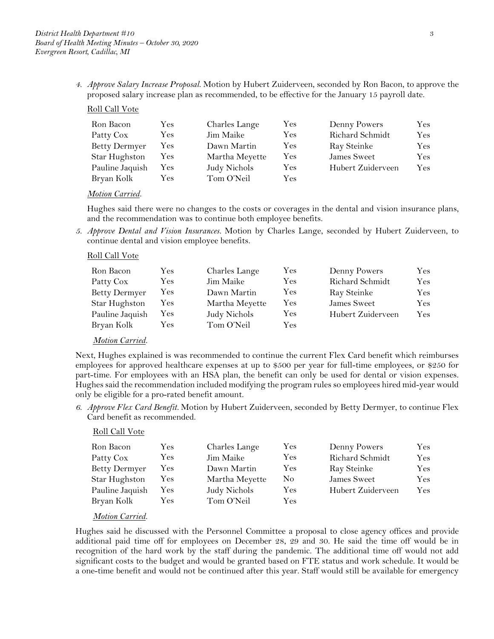*4. Approve Salary Increase Proposal.* Motion by Hubert Zuiderveen, seconded by Ron Bacon, to approve the proposed salary increase plan as recommended, to be effective for the January 15 payroll date.

# Roll Call Vote

| Ron Bacon            | Yes | Charles Lange  | Yes | Denny Powers      | Yes |
|----------------------|-----|----------------|-----|-------------------|-----|
| Patty Cox            | Yes | Jim Maike      | Yes | Richard Schmidt   | Yes |
| <b>Betty Dermyer</b> | Yes | Dawn Martin    | Yes | Ray Steinke       | Yes |
| Star Hughston        | Yes | Martha Meyette | Yes | James Sweet       | Yes |
| Pauline Jaquish      | Yes | Judy Nichols   | Yes | Hubert Zuiderveen | Yes |
| Bryan Kolk           | Yes | Tom O'Neil     | Yes |                   |     |

### *Motion Carried.*

Hughes said there were no changes to the costs or coverages in the dental and vision insurance plans, and the recommendation was to continue both employee benefits.

*5. Approve Dental and Vision Insurances.* Motion by Charles Lange, seconded by Hubert Zuiderveen, to continue dental and vision employee benefits.

### Roll Call Vote

| Ron Bacon            | Yes        | Charles Lange  | $\rm Yes$  | Denny Powers      | Yes  |
|----------------------|------------|----------------|------------|-------------------|------|
| Patty Cox            | Yes        | Jim Maike      | Yes        | Richard Schmidt   | Yes  |
| <b>Betty Dermyer</b> | Yes        | Dawn Martin    | Yes        | Ray Steinke       | Yes  |
| Star Hughston        | Yes        | Martha Meyette | <b>Yes</b> | James Sweet       | Yes. |
| Pauline Jaquish      | <b>Yes</b> | Judy Nichols   | Yes        | Hubert Zuiderveen | Yes: |
| Bryan Kolk           | Yes        | Tom O'Neil     | Yes        |                   |      |

### *Motion Carried.*

Next, Hughes explained is was recommended to continue the current Flex Card benefit which reimburses employees for approved healthcare expenses at up to \$500 per year for full-time employees, or \$250 for part-time. For employees with an HSA plan, the benefit can only be used for dental or vision expenses. Hughes said the recommendation included modifying the program rules so employees hired mid-year would only be eligible for a pro-rated benefit amount.

*6. Approve Flex Card Benefit.* Motion by Hubert Zuiderveen, seconded by Betty Dermyer, to continue Flex Card benefit as recommended.

### Roll Call Vote

| Ron Bacon            | Yes        | Charles Lange  | Yes            | Denny Powers      | Yes |
|----------------------|------------|----------------|----------------|-------------------|-----|
| Patty Cox            | Yes        | Jim Maike      | Yes            | Richard Schmidt   | Yes |
| <b>Betty Dermyer</b> | Yes        | Dawn Martin    | Yes            | Ray Steinke       | Yes |
| Star Hughston        | <b>Yes</b> | Martha Meyette | N <sub>0</sub> | James Sweet       | Yes |
| Pauline Jaquish      | <b>Yes</b> | Judy Nichols   | Yes            | Hubert Zuiderveen | Yes |
| Bryan Kolk           | Yes        | Tom O'Neil     | Yes            |                   |     |

## *Motion Carried.*

Hughes said he discussed with the Personnel Committee a proposal to close agency offices and provide additional paid time off for employees on December 28, 29 and 30. He said the time off would be in recognition of the hard work by the staff during the pandemic. The additional time off would not add significant costs to the budget and would be granted based on FTE status and work schedule. It would be a one-time benefit and would not be continued after this year. Staff would still be available for emergency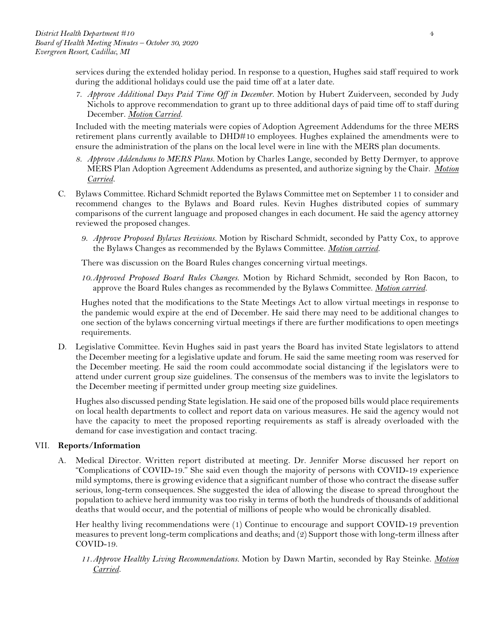services during the extended holiday period. In response to a question, Hughes said staff required to work during the additional holidays could use the paid time off at a later date.

*7. Approve Additional Days Paid Time Off in December.* Motion by Hubert Zuiderveen, seconded by Judy Nichols to approve recommendation to grant up to three additional days of paid time off to staff during December. *Motion Carried.*

Included with the meeting materials were copies of Adoption Agreement Addendums for the three MERS retirement plans currently available to DHD#10 employees. Hughes explained the amendments were to ensure the administration of the plans on the local level were in line with the MERS plan documents.

- *8. Approve Addendums to MERS Plans.* Motion by Charles Lange, seconded by Betty Dermyer, to approve MERS Plan Adoption Agreement Addendums as presented, and authorize signing by the Chair. *Motion Carried.*
- C. Bylaws Committee. Richard Schmidt reported the Bylaws Committee met on September 11 to consider and recommend changes to the Bylaws and Board rules. Kevin Hughes distributed copies of summary comparisons of the current language and proposed changes in each document. He said the agency attorney reviewed the proposed changes.
	- *9. Approve Proposed Bylaws Revisions.* Motion by Rischard Schmidt, seconded by Patty Cox, to approve the Bylaws Changes as recommended by the Bylaws Committee. *Motion carried.*

There was discussion on the Board Rules changes concerning virtual meetings.

*10.Approved Proposed Board Rules Changes.* Motion by Richard Schmidt, seconded by Ron Bacon, to approve the Board Rules changes as recommended by the Bylaws Committee. *Motion carried.*

Hughes noted that the modifications to the State Meetings Act to allow virtual meetings in response to the pandemic would expire at the end of December. He said there may need to be additional changes to one section of the bylaws concerning virtual meetings if there are further modifications to open meetings requirements.

D. Legislative Committee. Kevin Hughes said in past years the Board has invited State legislators to attend the December meeting for a legislative update and forum. He said the same meeting room was reserved for the December meeting. He said the room could accommodate social distancing if the legislators were to attend under current group size guidelines. The consensus of the members was to invite the legislators to the December meeting if permitted under group meeting size guidelines.

Hughes also discussed pending State legislation. He said one of the proposed bills would place requirements on local health departments to collect and report data on various measures. He said the agency would not have the capacity to meet the proposed reporting requirements as staff is already overloaded with the demand for case investigation and contact tracing.

## VII. **Reports/Information**

A. Medical Director. Written report distributed at meeting. Dr. Jennifer Morse discussed her report on "Complications of COVID-19." She said even though the majority of persons with COVID-19 experience mild symptoms, there is growing evidence that a significant number of those who contract the disease suffer serious, long-term consequences. She suggested the idea of allowing the disease to spread throughout the population to achieve herd immunity was too risky in terms of both the hundreds of thousands of additional deaths that would occur, and the potential of millions of people who would be chronically disabled.

Her healthy living recommendations were (1) Continue to encourage and support COVID-19 prevention measures to prevent long-term complications and deaths; and (2) Support those with long-term illness after COVID-19.

*11.Approve Healthy Living Recommendations.* Motion by Dawn Martin, seconded by Ray Steinke. *Motion Carried.*